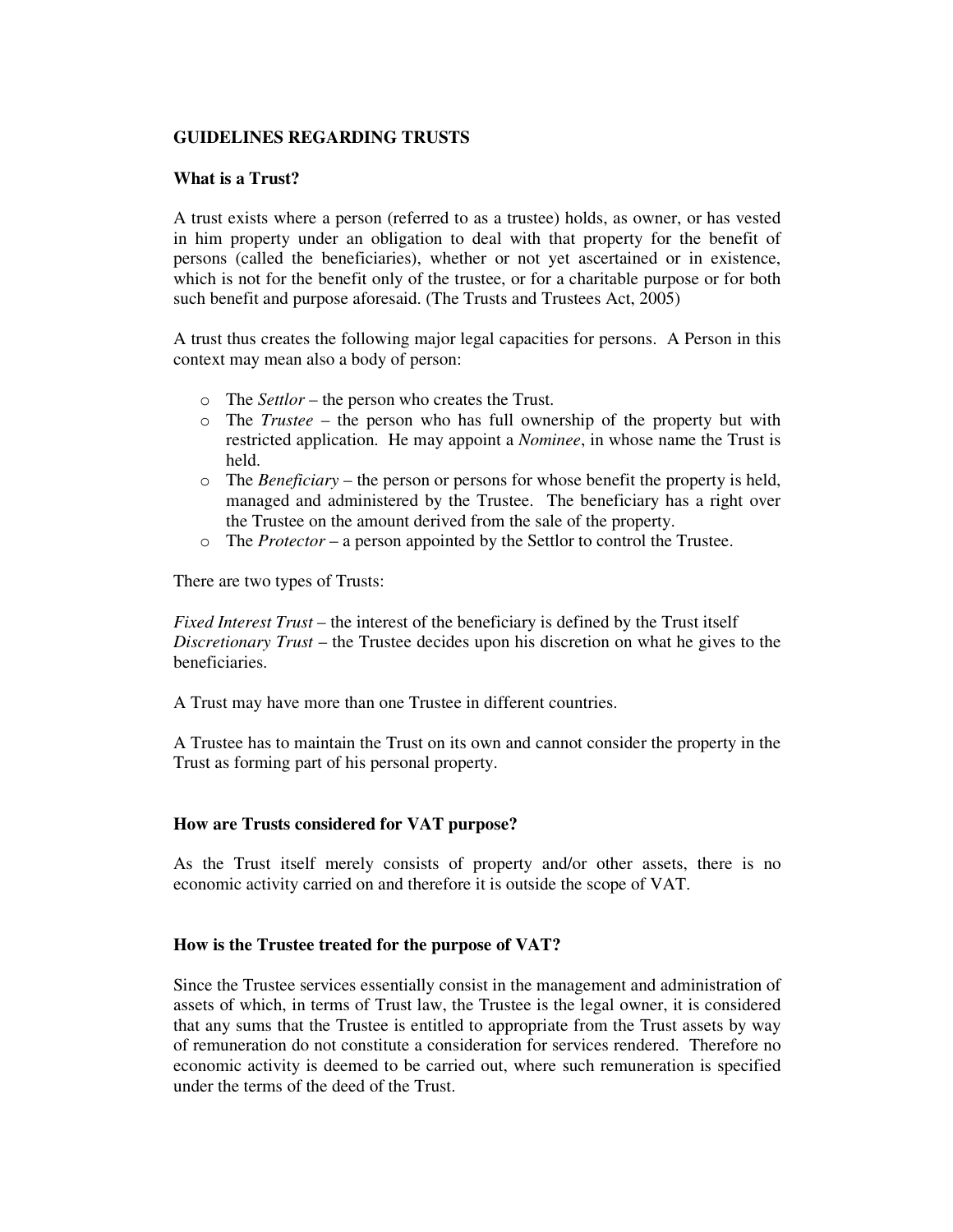## **GUIDELINES REGARDING TRUSTS**

## **What is a Trust?**

A trust exists where a person (referred to as a trustee) holds, as owner, or has vested in him property under an obligation to deal with that property for the benefit of persons (called the beneficiaries), whether or not yet ascertained or in existence, which is not for the benefit only of the trustee, or for a charitable purpose or for both such benefit and purpose aforesaid. (The Trusts and Trustees Act, 2005)

A trust thus creates the following major legal capacities for persons. A Person in this context may mean also a body of person:

- o The *Settlor* the person who creates the Trust.
- o The *Trustee* the person who has full ownership of the property but with restricted application. He may appoint a *Nominee*, in whose name the Trust is held.
- o The *Beneficiary* the person or persons for whose benefit the property is held, managed and administered by the Trustee. The beneficiary has a right over the Trustee on the amount derived from the sale of the property.
- o The *Protector* a person appointed by the Settlor to control the Trustee.

There are two types of Trusts:

*Fixed Interest Trust* – the interest of the beneficiary is defined by the Trust itself *Discretionary Trust* – the Trustee decides upon his discretion on what he gives to the beneficiaries.

A Trust may have more than one Trustee in different countries.

A Trustee has to maintain the Trust on its own and cannot consider the property in the Trust as forming part of his personal property.

## **How are Trusts considered for VAT purpose?**

As the Trust itself merely consists of property and/or other assets, there is no economic activity carried on and therefore it is outside the scope of VAT.

## **How is the Trustee treated for the purpose of VAT?**

Since the Trustee services essentially consist in the management and administration of assets of which, in terms of Trust law, the Trustee is the legal owner, it is considered that any sums that the Trustee is entitled to appropriate from the Trust assets by way of remuneration do not constitute a consideration for services rendered. Therefore no economic activity is deemed to be carried out, where such remuneration is specified under the terms of the deed of the Trust.